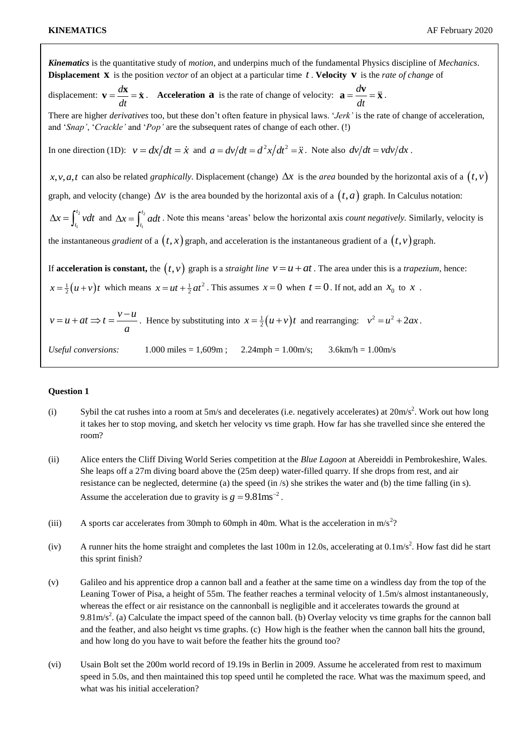*Kinematics* is the quantitative study of *motion*, and underpins much of the fundamental Physics discipline of *Mechanics*. **Displacement X** is the position *vector* of an object at a particular time t. Velocity v is the rate of change of displacement:  $\mathbf{v} = \frac{d}{dt}$ *dt*  $\mathbf{v} = \frac{d\mathbf{x}}{dt} = \dot{\mathbf{x}}$ . **Acceleration a** is the rate of change of velocity:  $\mathbf{a} = \frac{d\mathbf{x}}{dt}$ *dt*  $\mathbf{a} = \frac{d\mathbf{v}}{d\mathbf{x}} = \ddot{\mathbf{x}}$ . There are higher *derivatives* too, but these don't often feature in physical laws. '*Jerk'* is the rate of change of acceleration, and '*Snap'*, '*Crackle'* and '*Pop'* are the subsequent rates of change of each other. (!) In one direction (1D):  $v = dx/dt = \dot{x}$  and  $a = dv/dt = d^2x/dt^2 = \ddot{x}$ . Note also  $dv/dt = v dv/dx$ . x, v, a, t can also be related *graphically*. Displacement (change)  $\Delta x$  is the *area* bounded by the horizontal axis of a  $(t, v)$ graph, and velocity (change)  $\Delta v$  is the area bounded by the horizontal axis of a  $(t, a)$  graph. In Calculus notation:  $t_2$ 1  $\Delta x = \int_{t_1}^{t_2} v dt$  and  $\Delta x = \int_{t_1}^{t_2}$ 1  $\Delta x = \int_{t_1}^{t_2} a dt$ . Note this means 'areas' below the horizontal axis *count negatively*. Similarly, velocity is the instantaneous *gradient* of a  $(t, x)$  graph, and acceleration is the instantaneous gradient of a  $(t, v)$  graph. If **acceleration is constant,** the  $(t, v)$  graph is a *straight line*  $v = u + at$ . The area under this is a *trapezium*, hence:  $x = \frac{1}{2}(u+v)t$  which means  $x = ut + \frac{1}{2}at^2$ . This assumes  $x = 0$  when  $t = 0$ . If not, add an  $x_0$  to x.  $v = u + at \implies t = \frac{v - u}{u}$ *a*  $u + at \Rightarrow t = \frac{v - u}{x}$ . Hence by substituting into  $x = \frac{1}{2}(u + v)t$  and rearranging:  $v^2 = u^2 + 2ax$ . *Useful conversions:* 1.000 miles = 1,609m ; 2.24mph = 1.00m/s; 3.6km/h = 1.00m/s

## **Question 1**

- (i) Sybil the cat rushes into a room at 5m/s and decelerates (i.e. negatively accelerates) at  $20 \text{m/s}^2$ . Work out how long it takes her to stop moving, and sketch her velocity vs time graph. How far has she travelled since she entered the room?
- (ii) Alice enters the Cliff Diving World Series competition at the *Blue Lagoon* at Abereiddi in Pembrokeshire, Wales. She leaps off a 27m diving board above the (25m deep) water-filled quarry. If she drops from rest, and air resistance can be neglected, determine (a) the speed (in /s) she strikes the water and (b) the time falling (in s). Assume the acceleration due to gravity is  $g = 9.81 \text{ms}^{-2}$ .
- (iii) A sports car accelerates from 30mph to 60mph in 40m. What is the acceleration in  $m/s^2$ ?
- (iv) A runner hits the home straight and completes the last 100m in 12.0s, accelerating at  $0.1 \text{m/s}^2$ . How fast did he start this sprint finish?
- (v) Galileo and his apprentice drop a cannon ball and a feather at the same time on a windless day from the top of the Leaning Tower of Pisa, a height of 55m. The feather reaches a terminal velocity of 1.5m/s almost instantaneously, whereas the effect or air resistance on the cannonball is negligible and it accelerates towards the ground at 9.81m/s<sup>2</sup>. (a) Calculate the impact speed of the cannon ball. (b) Overlay velocity vs time graphs for the cannon ball and the feather, and also height vs time graphs. (c) How high is the feather when the cannon ball hits the ground, and how long do you have to wait before the feather hits the ground too?
- (vi) Usain Bolt set the 200m world record of 19.19s in Berlin in 2009. Assume he accelerated from rest to maximum speed in 5.0s, and then maintained this top speed until he completed the race. What was the maximum speed, and what was his initial acceleration?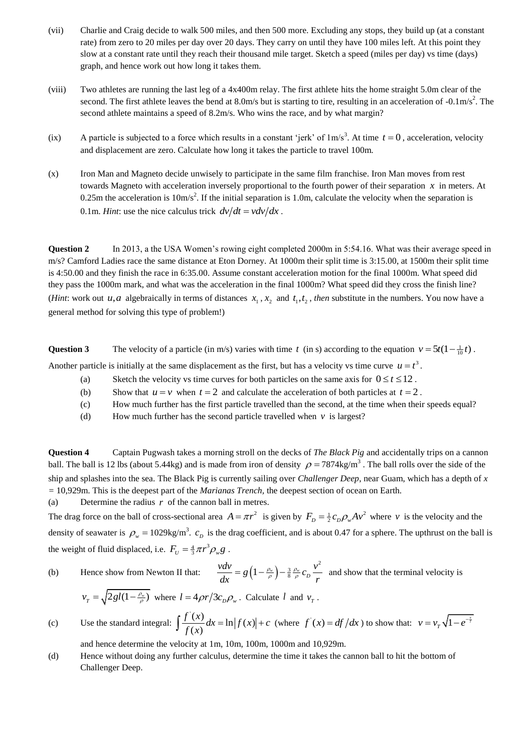- (vii) Charlie and Craig decide to walk 500 miles, and then 500 more. Excluding any stops, they build up (at a constant rate) from zero to 20 miles per day over 20 days. They carry on until they have 100 miles left. At this point they slow at a constant rate until they reach their thousand mile target. Sketch a speed (miles per day) vs time (days) graph, and hence work out how long it takes them.
- (viii) Two athletes are running the last leg of a 4x400m relay. The first athlete hits the home straight 5.0m clear of the second. The first athlete leaves the bend at 8.0m/s but is starting to tire, resulting in an acceleration of  $-0.1 \text{m/s}^2$ . The second athlete maintains a speed of 8.2m/s. Who wins the race, and by what margin?
- (ix) A particle is subjected to a force which results in a constant 'jerk' of  $1 \text{ m/s}^3$ . At time  $t = 0$ , acceleration, velocity and displacement are zero. Calculate how long it takes the particle to travel 100m.
- (x) Iron Man and Magneto decide unwisely to participate in the same film franchise. Iron Man moves from rest towards Magneto with acceleration inversely proportional to the fourth power of their separation *x* in meters. At 0.25m the acceleration is  $10 \text{m/s}^2$ . If the initial separation is 1.0m, calculate the velocity when the separation is 0.1m. *Hint*: use the nice calculus trick  $dv/dt = v dv/dx$ .

**Question 2** In 2013, a the USA Women's rowing eight completed 2000m in 5:54.16. What was their average speed in m/s? Camford Ladies race the same distance at Eton Dorney. At 1000m their split time is 3:15.00, at 1500m their split time is 4:50.00 and they finish the race in 6:35.00. Assume constant acceleration motion for the final 1000m. What speed did they pass the 1000m mark, and what was the acceleration in the final 1000m? What speed did they cross the finish line? (*Hint*: work out  $u, a$  algebraically in terms of distances  $x_1, x_2$  and  $t_1, t_2$ , then substitute in the numbers. You now have a general method for solving this type of problem!)

**Question 3** The velocity of a particle (in m/s) varies with time t (in s) according to the equation  $v = 5t(1 - \frac{1}{10}t)$ .

Another particle is initially at the same displacement as the first, but has a velocity vs time curve  $u = t^3$ .

- (a) Sketch the velocity vs time curves for both particles on the same axis for  $0 \le t \le 12$ .
- (b) Show that  $u = v$  when  $t = 2$  and calculate the acceleration of both particles at  $t = 2$ .
- (c) How much further has the first particle travelled than the second, at the time when their speeds equal?
- (d) How much further has the second particle travelled when  $\nu$  is largest?

**Question 4** Captain Pugwash takes a morning stroll on the decks of *The Black Pig* and accidentally trips on a cannon ball. The ball is 12 lbs (about 5.44kg) and is made from iron of density  $\rho = 7874 \text{kg/m}^3$ . The ball rolls over the side of the ship and splashes into the sea. The Black Pig is currently sailing over *Challenger Deep*, near Guam, which has a depth of *x =* 10,929m. This is the deepest part of the *Marianas Trench,* the deepest section of ocean on Earth.

(a) Determine the radius  $r$  of the cannon ball in metres.

The drag force on the ball of cross-sectional area  $A = \pi r^2$  is given by  $F_D = \frac{1}{2} c_D \rho_w A v^2$  where v is the velocity and the density of seawater is  $\rho_w = 1029 \text{kg/m}^3$ .  $c_p$  is the drag coefficient, and is about 0.47 for a sphere. The upthrust on the ball is the weight of fluid displaced, i.e.  $F_U = \frac{4}{3} \pi r^3 \rho_w g$ .

(b) Hence show from Newton II that:  $\frac{\mu}{I} = g \left( 1 - \frac{\rho_w}{\rho} \right)$  $\frac{vdv}{dx} = g\left(1 - \frac{\rho_w}{\rho}\right) - \frac{3}{8} \frac{\rho_w}{\rho} c_D \frac{v^2}{w}$  $\frac{v dv}{dx} = g \left( 1 - \frac{\rho_w}{\rho} \right) - \frac{3}{8} \frac{\rho_w}{\rho} c_D \frac{v^2}{r}$  and show that the terminal velocity is  $v_T = \sqrt{2gl(1 - \frac{\rho_w}{\rho})}$  where  $l = 4\rho r/3c_p\rho_w$ . Calculate l and  $v_T$ .

(c) Use the standard integral: 
$$
\int \frac{f'(x)}{f(x)} dx = \ln |f(x)| + c
$$
 (where  $f'(x) = df/dx$ ) to show that:  $v = v_T \sqrt{1 - e^{-\frac{x}{\tau}}}$ 

and hence determine the velocity at 1m, 10m, 100m, 1000m and 10,929m.

(d) Hence without doing any further calculus, determine the time it takes the cannon ball to hit the bottom of Challenger Deep.